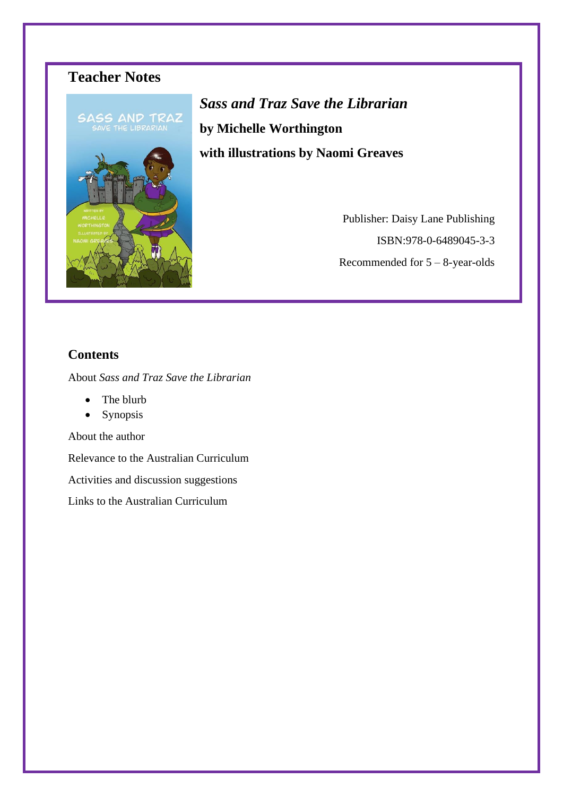

*Sass and Traz Save the Librarian* **by Michelle Worthington with illustrations by Naomi Greaves**

> Publisher: Daisy Lane Publishing ISBN:978-0-6489045-3-3 Recommended for 5 – 8-year-olds

## **Contents**

About *Sass and Traz Save the Librarian*

- The blurb
- Synopsis

About the author

Relevance to the Australian Curriculum

Activities and discussion suggestions

Links to the Australian Curriculum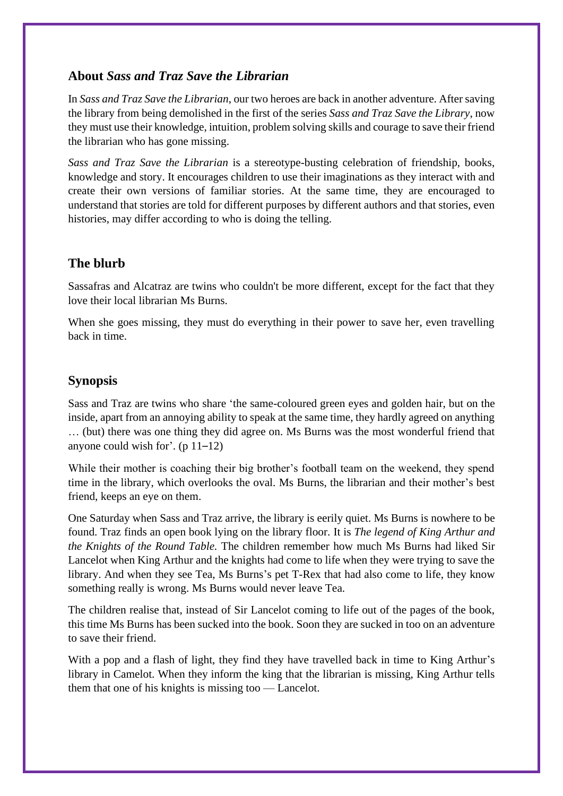### **About** *Sass and Traz Save the Librarian*

In *Sass and Traz Save the Librarian*, our two heroes are back in another adventure. After saving the library from being demolished in the first of the series *Sass and Traz Save the Library*, now they must use their knowledge, intuition, problem solving skills and courage to save their friend the librarian who has gone missing.

*Sass and Traz Save the Librarian* is a stereotype-busting celebration of friendship, books, knowledge and story. It encourages children to use their imaginations as they interact with and create their own versions of familiar stories. At the same time, they are encouraged to understand that stories are told for different purposes by different authors and that stories, even histories, may differ according to who is doing the telling.

## **The blurb**

Sassafras and Alcatraz are twins who couldn't be more different, except for the fact that they love their local librarian Ms Burns.

When she goes missing, they must do everything in their power to save her, even travelling back in time.

## **Synopsis**

Sass and Traz are twins who share 'the same-coloured green eyes and golden hair, but on the inside, apart from an annoying ability to speak at the same time, they hardly agreed on anything … (but) there was one thing they did agree on. Ms Burns was the most wonderful friend that anyone could wish for'.  $(p 11-12)$ 

While their mother is coaching their big brother's football team on the weekend, they spend time in the library, which overlooks the oval. Ms Burns, the librarian and their mother's best friend, keeps an eye on them.

One Saturday when Sass and Traz arrive, the library is eerily quiet. Ms Burns is nowhere to be found. Traz finds an open book lying on the library floor. It is *The legend of King Arthur and the Knights of the Round Table.* The children remember how much Ms Burns had liked Sir Lancelot when King Arthur and the knights had come to life when they were trying to save the library. And when they see Tea, Ms Burns's pet T-Rex that had also come to life, they know something really is wrong. Ms Burns would never leave Tea.

The children realise that, instead of Sir Lancelot coming to life out of the pages of the book, this time Ms Burns has been sucked into the book. Soon they are sucked in too on an adventure to save their friend.

With a pop and a flash of light, they find they have travelled back in time to King Arthur's library in Camelot. When they inform the king that the librarian is missing, King Arthur tells them that one of his knights is missing too — Lancelot.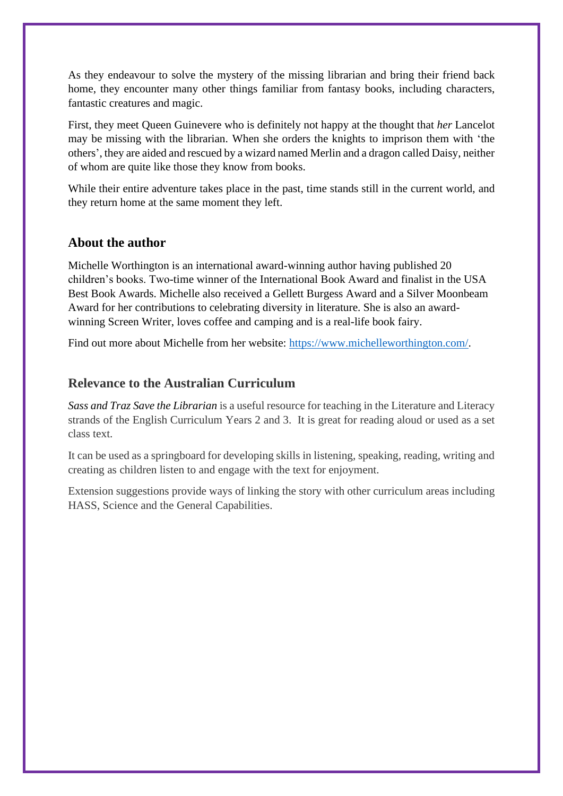As they endeavour to solve the mystery of the missing librarian and bring their friend back home, they encounter many other things familiar from fantasy books, including characters, fantastic creatures and magic.

First, they meet Queen Guinevere who is definitely not happy at the thought that *her* Lancelot may be missing with the librarian. When she orders the knights to imprison them with 'the others', they are aided and rescued by a wizard named Merlin and a dragon called Daisy, neither of whom are quite like those they know from books.

While their entire adventure takes place in the past, time stands still in the current world, and they return home at the same moment they left.

### **About the author**

Michelle Worthington is an international award-winning author having published 20 children's books. Two-time winner of the International Book Award and finalist in the USA Best Book Awards. Michelle also received a Gellett Burgess Award and a Silver Moonbeam Award for her contributions to celebrating diversity in literature. She is also an awardwinning Screen Writer, loves coffee and camping and is a real-life book fairy.

Find out more about Michelle from her website: [https://www.michelleworthington.com/.](https://www.michelleworthington.com/)

### **Relevance to the Australian Curriculum**

*Sass and Traz Save the Librarian* is a useful resource for teaching in the Literature and Literacy strands of the English Curriculum Years 2 and 3. It is great for reading aloud or used as a set class text.

It can be used as a springboard for developing skills in listening, speaking, reading, writing and creating as children listen to and engage with the text for enjoyment.

Extension suggestions provide ways of linking the story with other curriculum areas including HASS, Science and the General Capabilities.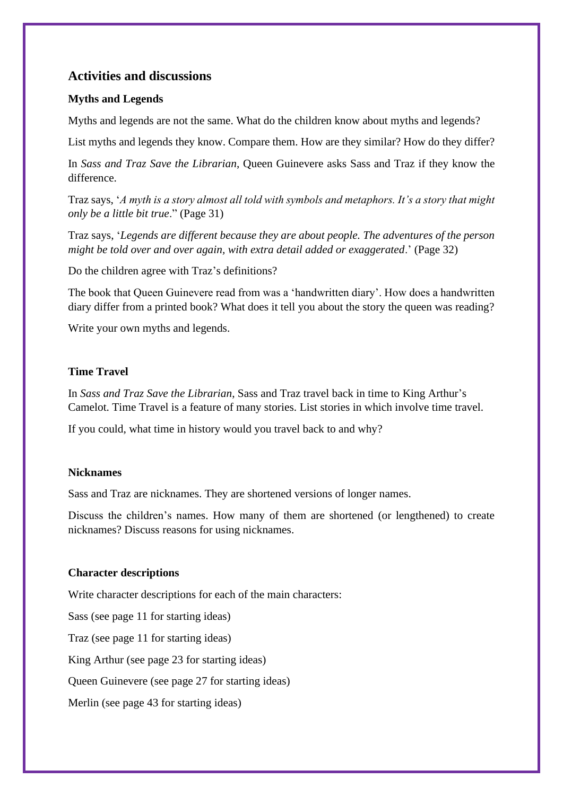### **Activities and discussions**

### **Myths and Legends**

Myths and legends are not the same. What do the children know about myths and legends?

List myths and legends they know. Compare them. How are they similar? How do they differ?

In *Sass and Traz Save the Librarian*, Queen Guinevere asks Sass and Traz if they know the difference.

Traz says, '*A myth is a story almost all told with symbols and metaphors. It's a story that might only be a little bit true*." (Page 31)

Traz says, '*Legends are different because they are about people. The adventures of the person might be told over and over again, with extra detail added or exaggerated*.' (Page 32)

Do the children agree with Traz's definitions?

The book that Queen Guinevere read from was a 'handwritten diary'. How does a handwritten diary differ from a printed book? What does it tell you about the story the queen was reading?

Write your own myths and legends.

### **Time Travel**

In *Sass and Traz Save the Librarian*, Sass and Traz travel back in time to King Arthur's Camelot. Time Travel is a feature of many stories. List stories in which involve time travel.

If you could, what time in history would you travel back to and why?

### **Nicknames**

Sass and Traz are nicknames. They are shortened versions of longer names.

Discuss the children's names. How many of them are shortened (or lengthened) to create nicknames? Discuss reasons for using nicknames.

#### **Character descriptions**

Write character descriptions for each of the main characters:

Sass (see page 11 for starting ideas)

Traz (see page 11 for starting ideas)

King Arthur (see page 23 for starting ideas)

Queen Guinevere (see page 27 for starting ideas)

Merlin (see page 43 for starting ideas)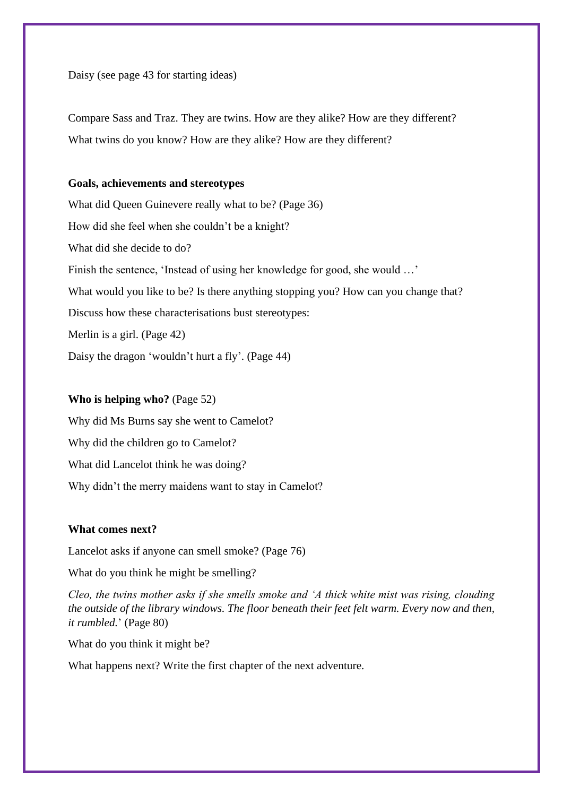Daisy (see page 43 for starting ideas)

Compare Sass and Traz. They are twins. How are they alike? How are they different? What twins do you know? How are they alike? How are they different?

#### **Goals, achievements and stereotypes**

What did Queen Guinevere really what to be? (Page 36) How did she feel when she couldn't be a knight? What did she decide to do? Finish the sentence, 'Instead of using her knowledge for good, she would …' What would you like to be? Is there anything stopping you? How can you change that? Discuss how these characterisations bust stereotypes: Merlin is a girl. (Page 42) Daisy the dragon 'wouldn't hurt a fly'. (Page 44)

#### **Who is helping who?** (Page 52)

Why did Ms Burns say she went to Camelot? Why did the children go to Camelot? What did Lancelot think he was doing? Why didn't the merry maidens want to stay in Camelot?

#### **What comes next?**

Lancelot asks if anyone can smell smoke? (Page 76)

What do you think he might be smelling?

*Cleo, the twins mother asks if she smells smoke and 'A thick white mist was rising, clouding the outside of the library windows. The floor beneath their feet felt warm. Every now and then, it rumbled.*' (Page 80)

What do you think it might be?

What happens next? Write the first chapter of the next adventure.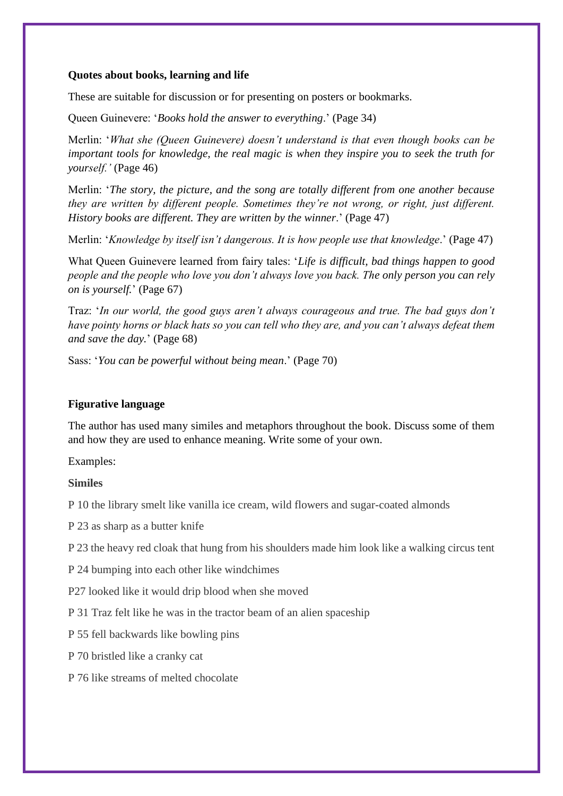#### **Quotes about books, learning and life**

These are suitable for discussion or for presenting on posters or bookmarks.

Queen Guinevere: '*Books hold the answer to everything*.' (Page 34)

Merlin: '*What she (Queen Guinevere) doesn't understand is that even though books can be important tools for knowledge, the real magic is when they inspire you to seek the truth for yourself.'* (Page 46)

Merlin: '*The story, the picture, and the song are totally different from one another because they are written by different people. Sometimes they're not wrong, or right, just different. History books are different. They are written by the winner*.' (Page 47)

Merlin: '*Knowledge by itself isn't dangerous. It is how people use that knowledge*.' (Page 47)

What Queen Guinevere learned from fairy tales: '*Life is difficult, bad things happen to good people and the people who love you don't always love you back. The only person you can rely on is yourself.*' (Page 67)

Traz: '*In our world, the good guys aren't always courageous and true. The bad guys don't have pointy horns or black hats so you can tell who they are, and you can't always defeat them and save the day.*' (Page 68)

Sass: '*You can be powerful without being mean*.' (Page 70)

### **Figurative language**

The author has used many similes and metaphors throughout the book. Discuss some of them and how they are used to enhance meaning. Write some of your own.

Examples:

#### **Similes**

P 10 the library smelt like vanilla ice cream, wild flowers and sugar-coated almonds

P 23 as sharp as a butter knife

P 23 the heavy red cloak that hung from his shoulders made him look like a walking circus tent

P 24 bumping into each other like windchimes

P27 looked like it would drip blood when she moved

P 31 Traz felt like he was in the tractor beam of an alien spaceship

P 55 fell backwards like bowling pins

P 70 bristled like a cranky cat

P 76 like streams of melted chocolate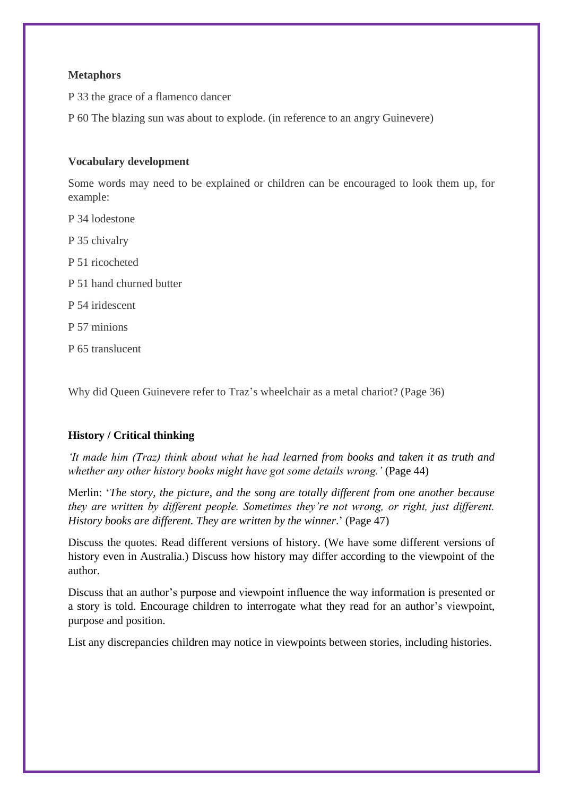### **Metaphors**

P 33 the grace of a flamenco dancer

P 60 The blazing sun was about to explode. (in reference to an angry Guinevere)

#### **Vocabulary development**

Some words may need to be explained or children can be encouraged to look them up, for example:

- P 34 lodestone
- P 35 chivalry
- P 51 ricocheted
- P 51 hand churned butter
- P 54 iridescent
- P 57 minions
- P 65 translucent

Why did Queen Guinevere refer to Traz's wheelchair as a metal chariot? (Page 36)

### **History / Critical thinking**

*'It made him (Traz) think about what he had learned from books and taken it as truth and whether any other history books might have got some details wrong.'* (Page 44)

Merlin: '*The story, the picture, and the song are totally different from one another because they are written by different people. Sometimes they're not wrong, or right, just different. History books are different. They are written by the winner*.' (Page 47)

Discuss the quotes. Read different versions of history. (We have some different versions of history even in Australia.) Discuss how history may differ according to the viewpoint of the author.

Discuss that an author's purpose and viewpoint influence the way information is presented or a story is told. Encourage children to interrogate what they read for an author's viewpoint, purpose and position.

List any discrepancies children may notice in viewpoints between stories, including histories.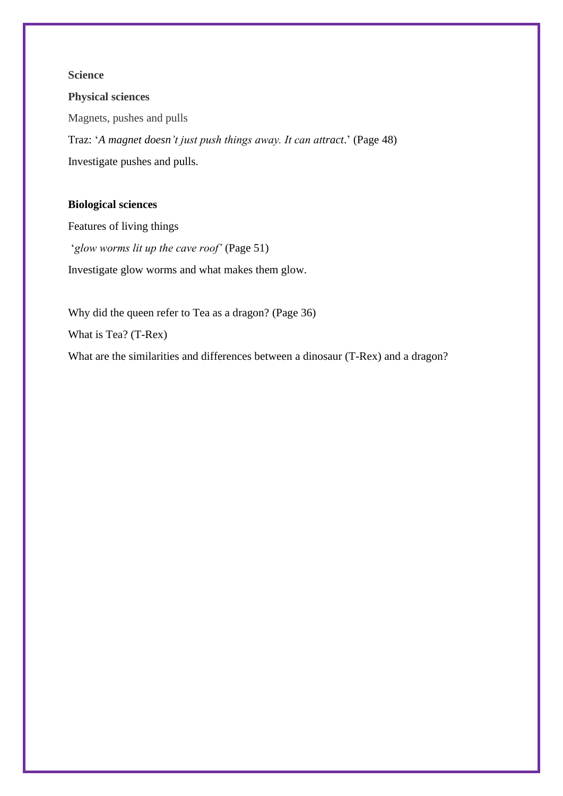### **Science**

### **Physical sciences**

Magnets, pushes and pulls

Traz: '*A magnet doesn't just push things away. It can attract*.' (Page 48) Investigate pushes and pulls.

### **Biological sciences**

Features of living things '*glow worms lit up the cave roof'* (Page 51) Investigate glow worms and what makes them glow.

Why did the queen refer to Tea as a dragon? (Page 36) What is Tea? (T-Rex) What are the similarities and differences between a dinosaur (T-Rex) and a dragon?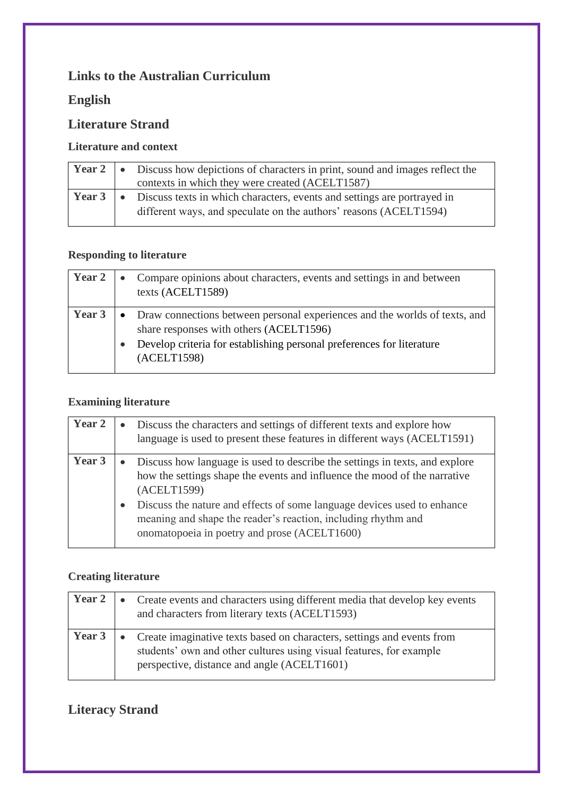# **Links to the Australian Curriculum**

## **English**

# **Literature Strand**

## **Literature and context**

|  | Year 2   • Discuss how depictions of characters in print, sound and images reflect the<br>contexts in which they were created (ACELT1587)                            |
|--|----------------------------------------------------------------------------------------------------------------------------------------------------------------------|
|  | <b>Year 3</b> $\bullet$ Discuss texts in which characters, events and settings are portrayed in<br>different ways, and speculate on the authors' reasons (ACELT1594) |

## **Responding to literature**

| <b>Year 2</b> |           | Compare opinions about characters, events and settings in and between<br>texts (ACELT1589)                            |
|---------------|-----------|-----------------------------------------------------------------------------------------------------------------------|
| Year 3        | $\bullet$ | Draw connections between personal experiences and the worlds of texts, and<br>share responses with others (ACELT1596) |
|               |           | Develop criteria for establishing personal preferences for literature<br>(ACELT1598)                                  |

## **Examining literature**

| Year 2 | Discuss the characters and settings of different texts and explore how<br>language is used to present these features in different ways (ACELT1591)                                                                                                                                                                                                                  |
|--------|---------------------------------------------------------------------------------------------------------------------------------------------------------------------------------------------------------------------------------------------------------------------------------------------------------------------------------------------------------------------|
| Year 3 | Discuss how language is used to describe the settings in texts, and explore<br>how the settings shape the events and influence the mood of the narrative<br>(ACELT1599)<br>Discuss the nature and effects of some language devices used to enhance<br>meaning and shape the reader's reaction, including rhythm and<br>onomatopoeia in poetry and prose (ACELT1600) |

## **Creating literature**

| Year 2 | • Create events and characters using different media that develop key events<br>and characters from literary texts (ACELT1593)                                                                 |
|--------|------------------------------------------------------------------------------------------------------------------------------------------------------------------------------------------------|
| Year 3 | • Create imaginative texts based on characters, settings and events from<br>students' own and other cultures using visual features, for example<br>perspective, distance and angle (ACELT1601) |

# **Literacy Strand**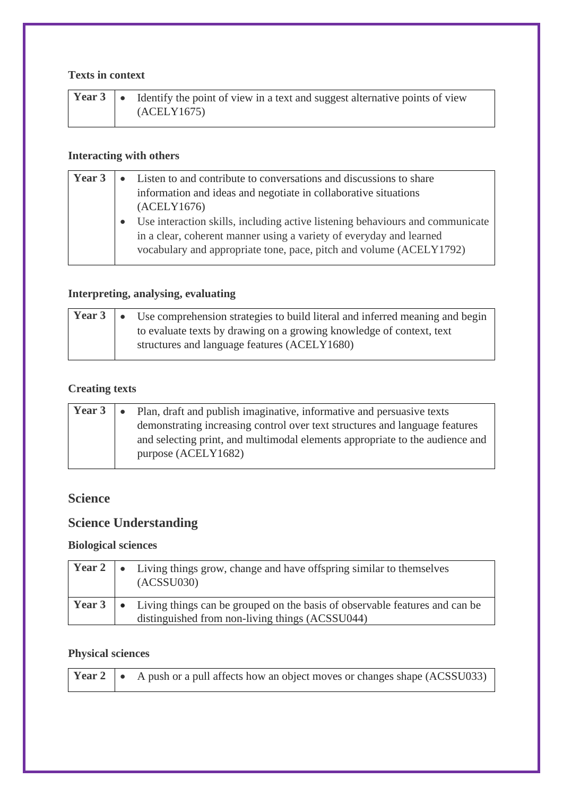### **Texts in context**

|  | <b>Year 3</b> • Identify the point of view in a text and suggest alternative points of view |
|--|---------------------------------------------------------------------------------------------|
|  | (ACELY1675)                                                                                 |

## **Interacting with others**

| Year 3 | Listen to and contribute to conversations and discussions to share            |
|--------|-------------------------------------------------------------------------------|
|        | information and ideas and negotiate in collaborative situations               |
|        | (ACELY1676)                                                                   |
|        | Use interaction skills, including active listening behaviours and communicate |
|        | in a clear, coherent manner using a variety of everyday and learned           |
|        | vocabulary and appropriate tone, pace, pitch and volume (ACELY1792)           |
|        |                                                                               |

## **Interpreting, analysing, evaluating**

|  | <b>Year 3</b> $\bullet$ Use comprehension strategies to build literal and inferred meaning and begin |
|--|------------------------------------------------------------------------------------------------------|
|  | to evaluate texts by drawing on a growing knowledge of context, text                                 |
|  | structures and language features (ACELY1680)                                                         |

## **Creating texts**

| Year 3 | • Plan, draft and publish imaginative, informative and persuasive texts      |
|--------|------------------------------------------------------------------------------|
|        | demonstrating increasing control over text structures and language features  |
|        | and selecting print, and multimodal elements appropriate to the audience and |
|        | purpose (ACELY1682)                                                          |

## **Science**

## **Science Understanding**

## **Biological sciences**

|  | <b>Year 2</b> $\bullet$ Living things grow, change and have offspring similar to themselves<br>(ACSSU030)                                              |
|--|--------------------------------------------------------------------------------------------------------------------------------------------------------|
|  | <b>Year 3</b> $\bullet$ Living things can be grouped on the basis of observable features and can be<br>distinguished from non-living things (ACSSU044) |

## **Physical sciences**

|  |  | <b>Year 2</b> $\bullet$ A push or a pull affects how an object moves or changes shape (ACSSU033) |
|--|--|--------------------------------------------------------------------------------------------------|
|--|--|--------------------------------------------------------------------------------------------------|